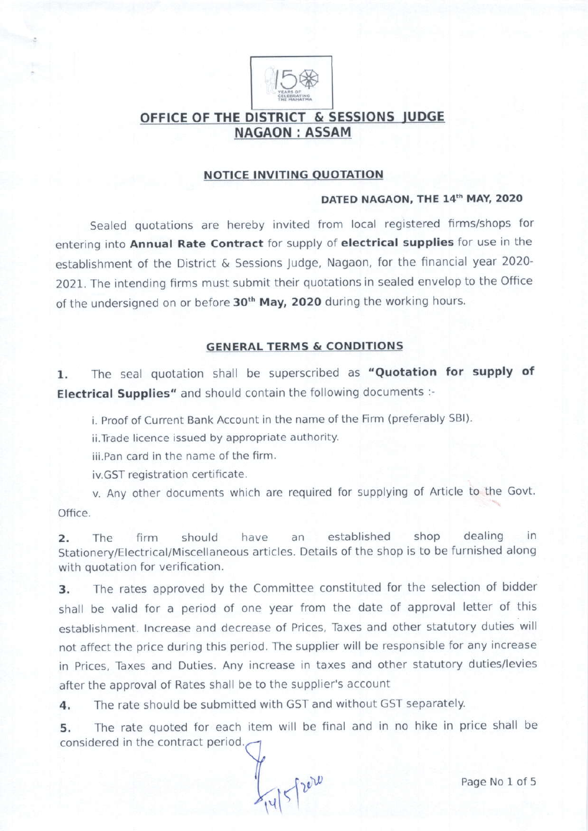

## OFFICE OF THE DISTRICT & SESSIONS IUDGE **NAGAON: ASSAM**

#### NOTICE INVITING OUOTATION

#### DATED NAGAON, THE 14th MAY, 2020

Sealed quotations are hereby invited from local registered firms/shops for entering into Annual Rate Contract for supply of electrical supplies for use in the establishment of the District & Sessions Judge, Nagaon, for the financial year 2020- 2021. The intending firms must submit their quotations in sealed envelop to the Office of the undersigned on or before 30<sup>th</sup> May, 2020 during the working hours.

### GENERAL TERMS & CONDITIONS

1. The seal quotation shall be superscribed as "Quotation for supply of Electrical Supplies" and should contain the following documents :-

i. Proof of Current Bank Account in the name of the Firm (preferably SBI)

ii.Trade licence issued by appropriate authority.

iii.Pan card in the name of the firm.

iv.GST registration certificate.

v. Any other documents which are required for supplying of Article to the Govt. office.

2. The firm should have an established shop dealing in Stationery/Electrical/Miscellaneous articles. Details of the shop is to be furnished along with quotation for verification.

3. The rates approved by the Committee constituted for the selection of bidder shall be valid for a period of one year from the date of approval letter of this establishment. lncrease and decrease of Prices, Taxes and other statutory duties will not affect the price during this period. The supplier will be responsible for any increase in Prices, Taxes and Duties. Any increase in taxes and other statutory duties/levies after the approval of Rates shall be to the supplier's account

4. The rate should be submitted with GST and without GST separately.

5, The rate quoted for each item will be final and in no hike in price shall be considered in the contract period.

 $\frac{1}{|v|}$  5 / 2010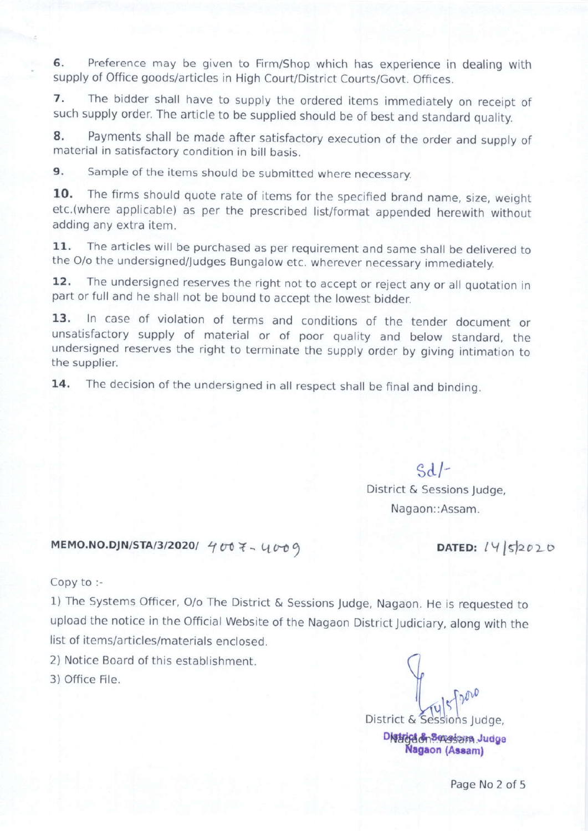6. Preference may be given to Firm/Shop which has experience in dealing with supply of Office goods/articles in High Court/District Courts/Govt. Offices.

7. The bidder shall have to supply the ordered items immediately on receipt of such supply order. The article to be supplied should be of best and standard quality.

8. Payments shall be made after satisfactory execution of the order and supply of material in satisfactory condition in bill basis.

9. Sample of the items should be submitted where necessary.

10. The firms should quote rate of items for the specified brand name, size, weight etc.(where applicable) as per the prescribed list/format appended herewith without adding any extra item.

11. The articles will be purchased as per requirement and same shall be delivered to the O/o the undersigned/Judges Bungalow etc. wherever necessary immediately.

12. The undersigned reserves the right not to accept or reject any or all quotation in part or full and he shall not be bound to accept the lowest bidder.

13. In case of violation of terms and conditions of the tender document or unsatisfactory supply of material or of poor quality and below standard, the undersigned reserves the right to terminate the supply order by giving intimation to the supplier.

14. The decision of the undersigned in all respect shall be final and binding.

sd/-

District & Sessions Judge. Nagaon::Assam.

 $DATED: 14|5|2020$ 

Copy to :-

1) The Systems Officer, O/o The District & Sessions Jud9e, Nagaon. He is requested to upload the notice in the Official Website of the Nagaon District Judiciary, along with the list of items/articles/materials enclosed.

2) Notice Board of this establishment.

 $MEMO.NO.DJN/STA/3/2020/4007 - U009$ 

3) Office Flle.

District & Sessions Judge.

Distriction & pressare Judge Nagaon (Assam)

Page No 2 of 5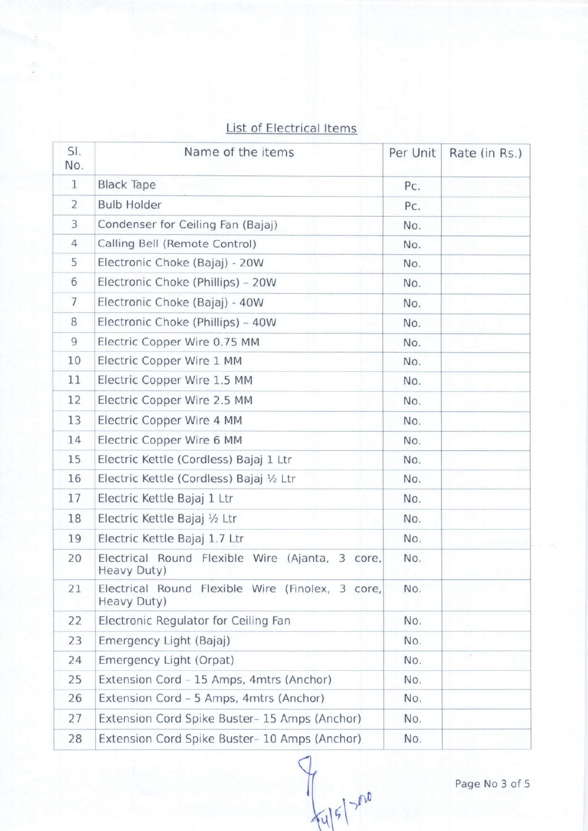# List of Electrical Items

| SI.<br>No.     | Name of the items                                               | Per Unit | Rate (in Rs.) |
|----------------|-----------------------------------------------------------------|----------|---------------|
| 1              | <b>Black Tape</b>                                               | Pc.      |               |
| $\overline{2}$ | <b>Bulb Holder</b>                                              | Pc.      |               |
| 3              | Condenser for Ceiling Fan (Bajaj)                               | No.      |               |
| $\overline{4}$ | Calling Bell (Remote Control)                                   | No.      |               |
| 5              | Electronic Choke (Bajaj) - 20W                                  | No.      |               |
| 6              | Electronic Choke (Phillips) - 20W                               | No.      |               |
| $\overline{7}$ | Electronic Choke (Bajaj) - 40W                                  | No.      |               |
| 8              | Electronic Choke (Phillips) - 40W                               | No.      |               |
| $\overline{9}$ | Electric Copper Wire 0.75 MM                                    | No.      |               |
| 10             | Electric Copper Wire 1 MM                                       | No.      |               |
| 11             | Electric Copper Wire 1.5 MM                                     | No.      |               |
| 12             | Electric Copper Wire 2.5 MM                                     | No.      |               |
| 13             | Electric Copper Wire 4 MM                                       | No.      |               |
| 14             | Electric Copper Wire 6 MM                                       | No.      |               |
| 15             | Electric Kettle (Cordless) Bajaj 1 Ltr                          | No.      |               |
| 16             | Electric Kettle (Cordless) Bajaj 1/2 Ltr                        | No.      |               |
| 17             | Electric Kettle Bajaj 1 Ltr                                     | No.      |               |
| 18             | Electric Kettle Bajaj 1/2 Ltr                                   | No.      |               |
| 19             | Electric Kettle Bajaj 1.7 Ltr                                   | No.      |               |
| 20             | Electrical Round Flexible Wire (Ajanta, 3 core,<br>Heavy Duty)  | No.      |               |
| 21             | Electrical Round Flexible Wire (Finolex, 3 core,<br>Heavy Duty) | No.      |               |
| 22             | Electronic Regulator for Ceiling Fan                            | No.      |               |
| 23             | Emergency Light (Bajaj)                                         | No.      |               |
| 24             | Emergency Light (Orpat)                                         | No.      | 26            |
| 25             | Extension Cord - 15 Amps, 4mtrs (Anchor)                        | No.      |               |
| 26             | Extension Cord - 5 Amps, 4mtrs (Anchor)                         | No.      |               |
| 27             | Extension Cord Spike Buster-15 Amps (Anchor)                    | No.      |               |
| 28             | Extension Cord Spike Buster- 10 Amps (Anchor)                   | No.      |               |

 $\subset$  $\frac{1}{2}$ 

Page No 3 of 5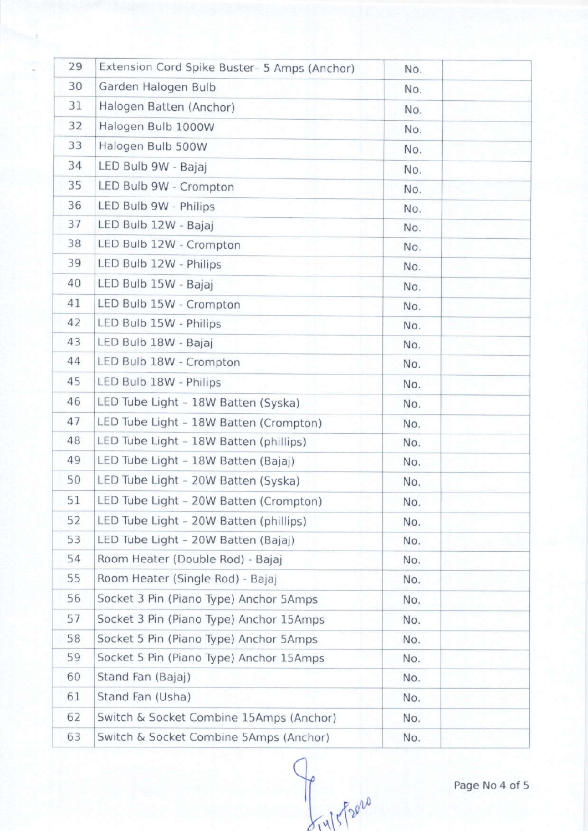| 29 | Extension Cord Spike Buster- 5 Amps (Anchor) | No. |  |
|----|----------------------------------------------|-----|--|
| 30 | Garden Halogen Bulb                          | No. |  |
| 31 | Halogen Batten (Anchor)                      | No. |  |
| 32 | Halogen Bulb 1000W                           | No. |  |
| 33 | Halogen Bulb 500W                            | No. |  |
| 34 | LED Bulb 9W - Bajaj                          | No. |  |
| 35 | LED Bulb 9W - Crompton                       | No. |  |
| 36 | LED Bulb 9W - Philips                        | No. |  |
| 37 | LED Bulb 12W - Bajaj                         | No. |  |
| 38 | LED Bulb 12W - Crompton                      | No. |  |
| 39 | LED Bulb 12W - Philips                       | No. |  |
| 40 | LED Bulb 15W - Bajaj                         | No. |  |
| 41 | LED Bulb 15W - Crompton                      | No. |  |
| 42 | LED Bulb 15W - Philips                       | No. |  |
| 43 | LED Bulb 18W - Bajaj                         | No. |  |
| 44 | LED Bulb 18W - Crompton                      | No. |  |
| 45 | LED Bulb 18W - Philips                       | No. |  |
| 46 | LED Tube Light - 18W Batten (Syska)          | No. |  |
| 47 | LED Tube Light - 18W Batten (Crompton)       | No. |  |
| 48 | LED Tube Light - 18W Batten (phillips)       | No. |  |
| 49 | LED Tube Light - 18W Batten (Bajaj)          | No. |  |
| 50 | LED Tube Light - 20W Batten (Syska)          | No. |  |
| 51 | LED Tube Light - 20W Batten (Crompton)       | No. |  |
| 52 | LED Tube Light - 20W Batten (phillips)       | No. |  |
| 53 | LED Tube Light - 20W Batten (Bajaj)          | No. |  |
| 54 | Room Heater (Double Rod) - Bajaj             | No. |  |
| 55 | Room Heater (Single Rod) - Bajaj             | No. |  |
| 56 | Socket 3 Pin (Piano Type) Anchor 5Amps       | No. |  |
| 57 | Socket 3 Pin (Piano Type) Anchor 15Amps      | No. |  |
| 58 | Socket 5 Pin (Piano Type) Anchor 5Amps       | No. |  |
| 59 | Socket 5 Pin (Piano Type) Anchor 15Amps      | No. |  |
| 60 | Stand Fan (Bajaj)                            | No. |  |
| 61 | Stand Fan (Usha)                             | No. |  |
| 62 | Switch & Socket Combine 15Amps (Anchor)      | No. |  |
| 63 | Switch & Socket Combine 5Amps (Anchor)       | No. |  |

 $\subset$  $\frac{1}{2^{14}}$ 

Page No 4 of 5